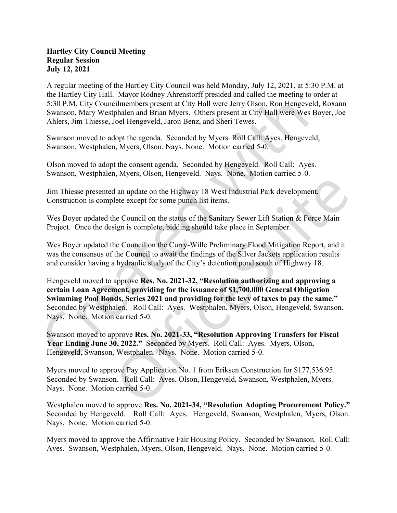## Hartley City Council Meeting Regular Session July 12, 2021

A regular meeting of the Hartley City Council was held Monday, July 12, 2021, at 5:30 P.M. at the Hartley City Hall. Mayor Rodney Ahrenstorff presided and called the meeting to order at 5:30 P.M. City Councilmembers present at City Hall were Jerry Olson, Ron Hengeveld, Roxann Swanson, Mary Westphalen and Brian Myers. Others present at City Hall were Wes Boyer, Joe Ahlers, Jim Thiesse, Joel Hengeveld, Jaron Benz, and Sheri Tewes.

Swanson moved to adopt the agenda. Seconded by Myers. Roll Call: Ayes. Hengeveld, Swanson, Westphalen, Myers, Olson. Nays. None. Motion carried 5-0.

Olson moved to adopt the consent agenda. Seconded by Hengeveld. Roll Call: Ayes. Swanson, Westphalen, Myers, Olson, Hengeveld. Nays. None. Motion carried 5-0.

Jim Thiesse presented an update on the Highway 18 West Industrial Park development. Construction is complete except for some punch list items.

Wes Boyer updated the Council on the status of the Sanitary Sewer Lift Station & Force Main Project. Once the design is complete, bidding should take place in September.<br>Wes Boyer updated the Council on the Curry-Wille Preliminary Flood Mitigation Report, and it

was the consensus of the Council to await the findings of the Silver Jackets application results and consider having a hydraulic study of the City's detention pond south of Highway 18.

Hengeveld moved to approve Res. No. 2021-32, "Resolution authorizing and approving a certain Loan Agreement, providing for the issuance of \$1,700,000 General Obligation Swimming Pool Bonds, Series 2021 and providing for the levy of taxes to pay the same." Seconded by Westphalen. Roll Call: Ayes. Westphalen, Myers, Olson, Hengeveld, Swanson. Nays. None. Motion carried 5-0.

Swanson moved to approve Res. No. 2021-33, "Resolution Approving Transfers for Fiscal Year Ending June 30, 2022." Seconded by Myers. Roll Call: Ayes. Myers, Olson, Hengeveld, Swanson, Westphalen. Nays. None. Motion carried 5-0.

Myers moved to approve Pay Application No. 1 from Eriksen Construction for \$177,536.95. Seconded by Swanson. Roll Call: Ayes. Olson, Hengeveld, Swanson, Westphalen, Myers. Nays. None. Motion carried 5-0.

Westphalen moved to approve Res. No. 2021-34, "Resolution Adopting Procurement Policy." Seconded by Hengeveld. Roll Call: Ayes. Hengeveld, Swanson, Westphalen, Myers, Olson. Nays. None. Motion carried 5-0.

Myers moved to approve the Affirmative Fair Housing Policy. Seconded by Swanson. Roll Call: Ayes. Swanson, Westphalen, Myers, Olson, Hengeveld. Nays. None. Motion carried 5-0.